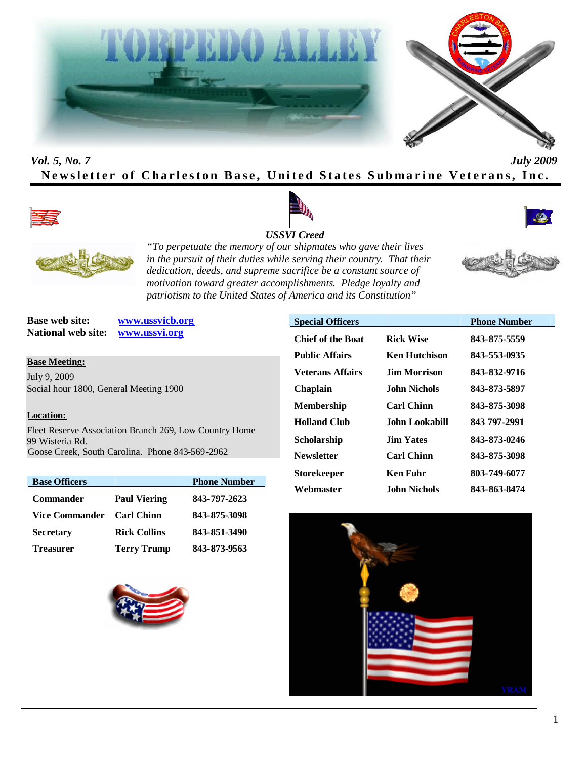



# *Vol. 5, No. 7 July 2009* **Newsletter of Charleston Base, United States Submarine Veterans, Inc.**





## *USSVI Creed*



*"To perpetuate the memory of our shipmates who gave their lives in the pursuit of their duties while serving their country. That their dedication, deeds, and supreme sacrifice be a constant source of motivation toward greater accomplishments. Pledge loyalty and patriotism to the United States of America and its Constitution"*

**Base web site: www.ussvicb.org National web site: www.ussvi.org**

**Base Meeting:** July 9, 2009 Social hour 1800, General Meeting 1900

#### **Location:**

Fleet Reserve Association Branch 269, Low Country Home 99 Wisteria Rd. Goose Creek, South Carolina. Phone 843-569-2962

| <b>Base Officers</b> |                     | <b>Phone Number</b> |
|----------------------|---------------------|---------------------|
| <b>Commander</b>     | <b>Paul Viering</b> | 843-797-2623        |
| Vice Commander       | <b>Carl Chinn</b>   | 843-875-3098        |
| <b>Secretary</b>     | <b>Rick Collins</b> | 843-851-3490        |
| <b>Treasurer</b>     | <b>Terry Trump</b>  | 843-873-9563        |



| <b>Special Officers</b>  |                      | <b>Phone Number</b> |
|--------------------------|----------------------|---------------------|
| <b>Chief of the Boat</b> | <b>Rick Wise</b>     | 843-875-5559        |
| <b>Public Affairs</b>    | <b>Ken Hutchison</b> | 843-553-0935        |
| <b>Veterans Affairs</b>  | Jim Morrison.        | 843-832-9716        |
| <b>Chaplain</b>          | John Nichols.        | 843-873-5897        |
| <b>Membership</b>        | <b>Carl Chinn</b>    | 843-875-3098        |
| <b>Holland Club</b>      | John Lookabill.      | 843 797-2991        |
| <b>Scholarship</b>       | <b>Jim Yates</b>     | 843-873-0246        |
| <b>Newsletter</b>        | <b>Carl Chinn</b>    | 843-875-3098        |
| <b>Storekeeper</b>       | Ken Fuhr             | 803-749-6077        |
| Webmaster                | John Nichols         | 843-863-8474        |

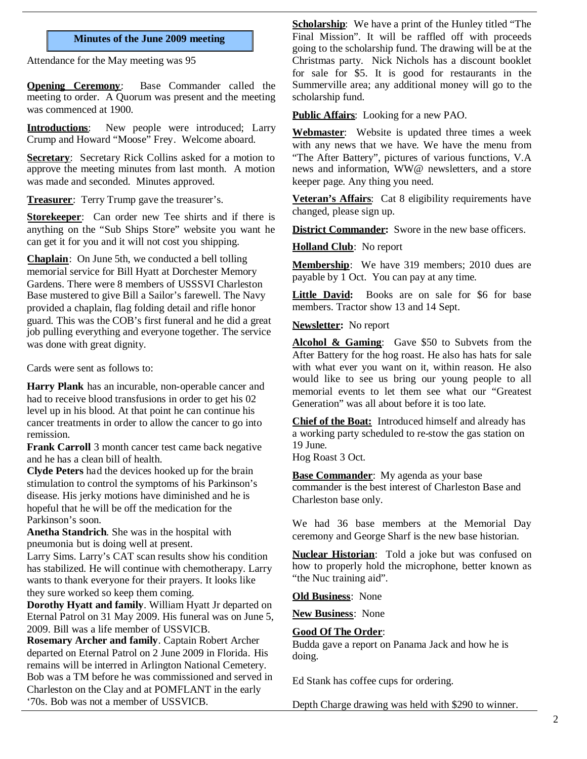#### **Minutes of the June 2009 meeting**

Attendance for the May meeting was 95

**Opening Ceremony**: Base Commander called the meeting to order. A Quorum was present and the meeting was commenced at 1900.

**Introductions**: New people were introduced; Larry Crump and Howard "Moose" Frey. Welcome aboard.

**Secretary**: Secretary Rick Collins asked for a motion to approve the meeting minutes from last month. A motion was made and seconded. Minutes approved.

**Treasurer**: Terry Trump gave the treasurer's.

**Storekeeper**: Can order new Tee shirts and if there is anything on the "Sub Ships Store" website you want he can get it for you and it will not cost you shipping.

**Chaplain**: On June 5th, we conducted a bell tolling memorial service for Bill Hyatt at Dorchester Memory Gardens. There were 8 members of USSSVI Charleston Base mustered to give Bill a Sailor's farewell. The Navy provided a chaplain, flag folding detail and rifle honor guard. This was the COB's first funeral and he did a great job pulling everything and everyone together. The service was done with great dignity.

Cards were sent as follows to:

**Harry Plank** has an incurable, non-operable cancer and had to receive blood transfusions in order to get his 02 level up in his blood. At that point he can continue his cancer treatments in order to allow the cancer to go into remission.

**Frank Carroll** 3 month cancer test came back negative and he has a clean bill of health.

**Clyde Peters** had the devices hooked up for the brain stimulation to control the symptoms of his Parkinson's disease. His jerky motions have diminished and he is hopeful that he will be off the medication for the Parkinson's soon.

**Anetha Standrich**. She was in the hospital with pneumonia but is doing well at present.

Larry Sims. Larry's CAT scan results show his condition has stabilized. He will continue with chemotherapy. Larry wants to thank everyone for their prayers. It looks like they sure worked so keep them coming.

**Dorothy Hyatt and family**. William Hyatt Jr departed on Eternal Patrol on 31 May 2009. His funeral was on June 5, 2009. Bill was a life member of USSVICB.

**Rosemary Archer and family**. Captain Robert Archer departed on Eternal Patrol on 2 June 2009 in Florida. His remains will be interred in Arlington National Cemetery. Bob was a TM before he was commissioned and served in Charleston on the Clay and at POMFLANT in the early '70s. Bob was not a member of USSVICB.

**Scholarship:** We have a print of the Hunley titled "The Final Mission". It will be raffled off with proceeds going to the scholarship fund. The drawing will be at the Christmas party. Nick Nichols has a discount booklet for sale for \$5. It is good for restaurants in the Summerville area; any additional money will go to the scholarship fund.

**Public Affairs**: Looking for a new PAO.

**Webmaster**: Website is updated three times a week with any news that we have. We have the menu from "The After Battery", pictures of various functions, V.A news and information, WW@ newsletters, and a store keeper page. Any thing you need.

**Veteran's Affairs**: Cat 8 eligibility requirements have changed, please sign up.

**District Commander:** Swore in the new base officers.

**Holland Club**: No report

**Membership**: We have 319 members; 2010 dues are payable by 1 Oct. You can pay at any time.

Little David: Books are on sale for \$6 for base members. Tractor show 13 and 14 Sept.

**Newsletter:** No report

**Alcohol & Gaming**: Gave \$50 to Subvets from the After Battery for the hog roast. He also has hats for sale with what ever you want on it, within reason. He also would like to see us bring our young people to all memorial events to let them see what our "Greatest Generation" was all about before it is too late.

**Chief of the Boat:** Introduced himself and already has a working party scheduled to re-stow the gas station on 19 June.

Hog Roast 3 Oct.

**Base Commander**: My agenda as your base commander is the best interest of Charleston Base and Charleston base only.

We had 36 base members at the Memorial Day ceremony and George Sharf is the new base historian.

**Nuclear Historian**: Told a joke but was confused on how to properly hold the microphone, better known as "the Nuc training aid".

**Old Business**: None

**New Business**: None

#### **Good Of The Order**:

Budda gave a report on Panama Jack and how he is doing.

Ed Stank has coffee cups for ordering.

Depth Charge drawing was held with \$290 to winner.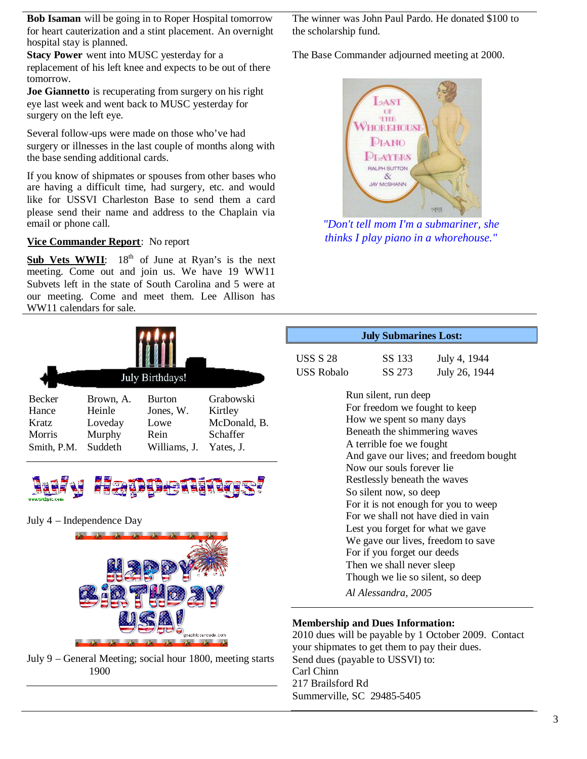**Bob Isaman** will be going in to Roper Hospital tomorrow for heart cauterization and a stint placement. An overnight hospital stay is planned.

**Stacy Power** went into MUSC yesterday for a replacement of his left knee and expects to be out of there tomorrow.

**Joe Giannetto** is recuperating from surgery on his right eye last week and went back to MUSC yesterday for surgery on the left eye.

Several follow-ups were made on those who've had surgery or illnesses in the last couple of months along with the base sending additional cards.

If you know of shipmates or spouses from other bases who are having a difficult time, had surgery, etc. and would like for USSVI Charleston Base to send them a card please send their name and address to the Chaplain via email or phone call.

## **Vice Commander Report**: No report

Sub Vets WWII: 18<sup>th</sup> of June at Ryan's is the next meeting. Come out and join us. We have 19 WW11 Subvets left in the state of South Carolina and 5 were at our meeting. Come and meet them. Lee Allison has WW11 calendars for sale.





July 4 – Independence Day



July 9 – General Meeting; social hour 1800, meeting starts 1900

The winner was John Paul Pardo. He donated \$100 to the scholarship fund.

The Base Commander adjourned meeting at 2000.



*"Don't tell mom I'm a submariner, she thinks I play piano in a whorehouse."*

| <b>July Submarines Lost:</b>                                                                                                  |                                                                                                                                                |                                                                        |  |  |
|-------------------------------------------------------------------------------------------------------------------------------|------------------------------------------------------------------------------------------------------------------------------------------------|------------------------------------------------------------------------|--|--|
| USS S 28                                                                                                                      | SS 133                                                                                                                                         | July 4, 1944                                                           |  |  |
| USS Robalo                                                                                                                    | SS 273                                                                                                                                         | July 26, 1944                                                          |  |  |
|                                                                                                                               | Run silent, run deep<br>For freedom we fought to keep<br>How we spent so many days<br>Beneath the shimmering waves<br>A terrible foe we fought |                                                                        |  |  |
| And gave our lives; and freedom bought<br>Now our souls forever lie<br>Restlessly beneath the waves<br>So silent now, so deep |                                                                                                                                                |                                                                        |  |  |
| For it is not enough for you to weep<br>For we shall not have died in vain                                                    |                                                                                                                                                |                                                                        |  |  |
|                                                                                                                               | For if you forget our deeds<br>Then we shall never sleep<br>Though we lie so silent, so deep                                                   | Lest you forget for what we gave<br>We gave our lives, freedom to save |  |  |
|                                                                                                                               | Al Alessandra, 2005                                                                                                                            |                                                                        |  |  |

## **Membership and Dues Information:**

2010 dues will be payable by 1 October 2009. Contact your shipmates to get them to pay their dues. Send dues (payable to USSVI) to: Carl Chinn 217 Brailsford Rd Summerville, SC 29485-5405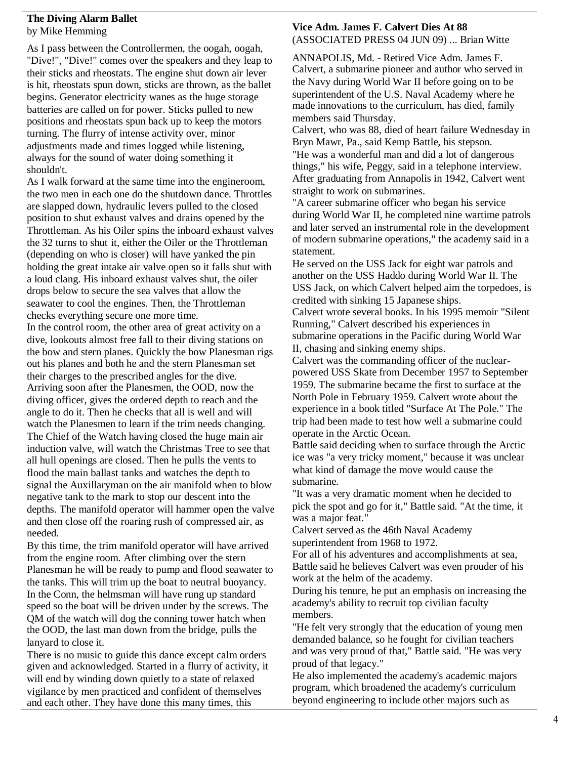### **The Diving Alarm Ballet** by Mike Hemming

As I pass between the Controllermen, the oogah, oogah, "Dive!", "Dive!" comes over the speakers and they leap to their sticks and rheostats. The engine shut down air lever is hit, rheostats spun down, sticks are thrown, as the ballet begins. Generator electricity wanes as the huge storage batteries are called on for power. Sticks pulled to new positions and rheostats spun back up to keep the motors turning. The flurry of intense activity over, minor adjustments made and times logged while listening. always for the sound of water doing something it shouldn't.

As I walk forward at the same time into the engineroom, the two men in each one do the shutdown dance. Throttles are slapped down, hydraulic levers pulled to the closed position to shut exhaust valves and drains opened by the Throttleman. As his Oiler spins the inboard exhaust valves the 32 turns to shut it, either the Oiler or the Throttleman (depending on who is closer) will have yanked the pin holding the great intake air valve open so it falls shut with a loud clang. His inboard exhaust valves shut, the oiler drops below to secure the sea valves that allow the seawater to cool the engines. Then, the Throttleman checks everything secure one more time.

In the control room, the other area of great activity on a dive, lookouts almost free fall to their diving stations on the bow and stern planes. Quickly the bow Planesman rigs out his planes and both he and the stern Planesman set their charges to the prescribed angles for the dive. Arriving soon after the Planesmen, the OOD, now the diving officer, gives the ordered depth to reach and the angle to do it. Then he checks that all is well and will watch the Planesmen to learn if the trim needs changing. The Chief of the Watch having closed the huge main air induction valve, will watch the Christmas Tree to see that all hull openings are closed. Then he pulls the vents to flood the main ballast tanks and watches the depth to signal the Auxillaryman on the air manifold when to blow negative tank to the mark to stop our descent into the depths. The manifold operator will hammer open the valve and then close off the roaring rush of compressed air, as needed.

By this time, the trim manifold operator will have arrived from the engine room. After climbing over the stern Planesman he will be ready to pump and flood seawater to the tanks. This will trim up the boat to neutral buoyancy. In the Conn, the helmsman will have rung up standard speed so the boat will be driven under by the screws. The QM of the watch will dog the conning tower hatch when the OOD, the last man down from the bridge, pulls the lanyard to close it.

There is no music to guide this dance except calm orders given and acknowledged. Started in a flurry of activity, it will end by winding down quietly to a state of relaxed vigilance by men practiced and confident of themselves and each other. They have done this many times, this

#### **Vice Adm. James F. Calvert Dies At 88** (ASSOCIATED PRESS 04 JUN 09) ... Brian Witte

ANNAPOLIS, Md. - Retired Vice Adm. James F. Calvert, a submarine pioneer and author who served in the Navy during World War II before going on to be superintendent of the U.S. Naval Academy where he made innovations to the curriculum, has died, family members said Thursday.

Calvert, who was 88, died of heart failure Wednesday in Bryn Mawr, Pa., said Kemp Battle, his stepson. "He was a wonderful man and did a lot of dangerous things," his wife, Peggy, said in a telephone interview. After graduating from Annapolis in 1942, Calvert went straight to work on submarines.

"A career submarine officer who began his service during World War II, he completed nine wartime patrols and later served an instrumental role in the development of modern submarine operations," the academy said in a statement.

He served on the USS Jack for eight war patrols and another on the USS Haddo during World War II. The USS Jack, on which Calvert helped aim the torpedoes, is credited with sinking 15 Japanese ships.

Calvert wrote several books. In his 1995 memoir "Silent Running," Calvert described his experiences in submarine operations in the Pacific during World War II, chasing and sinking enemy ships.

Calvert was the commanding officer of the nuclearpowered USS Skate from December 1957 to September 1959. The submarine became the first to surface at the North Pole in February 1959. Calvert wrote about the experience in a book titled "Surface At The Pole." The trip had been made to test how well a submarine could operate in the Arctic Ocean.

Battle said deciding when to surface through the Arctic ice was "a very tricky moment," because it was unclear what kind of damage the move would cause the submarine.

"It was a very dramatic moment when he decided to pick the spot and go for it," Battle said. "At the time, it was a major feat."

Calvert served as the 46th Naval Academy superintendent from 1968 to 1972.

For all of his adventures and accomplishments at sea, Battle said he believes Calvert was even prouder of his work at the helm of the academy.

During his tenure, he put an emphasis on increasing the academy's ability to recruit top civilian faculty members.

"He felt very strongly that the education of young men demanded balance, so he fought for civilian teachers and was very proud of that," Battle said. "He was very proud of that legacy."

He also implemented the academy's academic majors program, which broadened the academy's curriculum beyond engineering to include other majors such as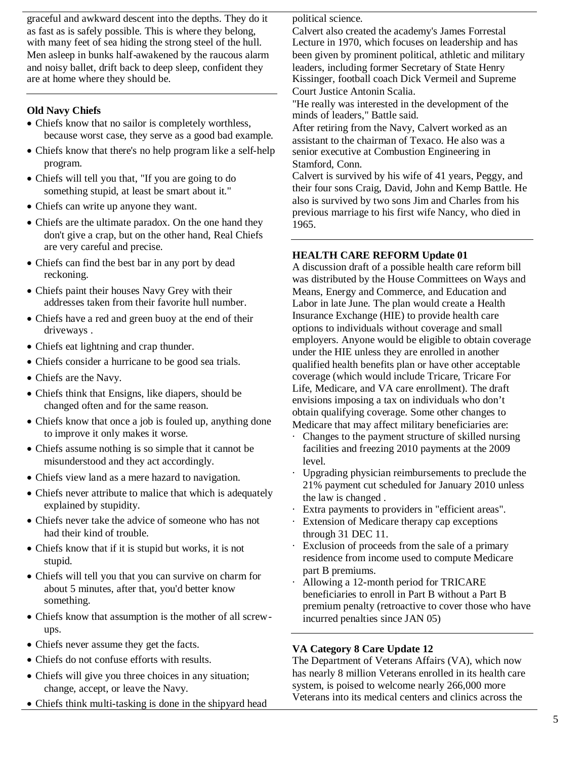graceful and awkward descent into the depths. They do it as fast as is safely possible. This is where they belong, with many feet of sea hiding the strong steel of the hull. Men asleep in bunks half-awakened by the raucous alarm and noisy ballet, drift back to deep sleep, confident they are at home where they should be.

## **Old Navy Chiefs**

- Chiefs know that no sailor is completely worthless, because worst case, they serve as a good bad example.
- Chiefs know that there's no help program like a self-help program.
- Chiefs will tell you that, "If you are going to do something stupid, at least be smart about it."
- Chiefs can write up anyone they want.
- Chiefs are the ultimate paradox. On the one hand they don't give a crap, but on the other hand, Real Chiefs are very careful and precise.
- Chiefs can find the best bar in any port by dead reckoning.
- Chiefs paint their houses Navy Grey with their addresses taken from their favorite hull number.
- Chiefs have a red and green buoy at the end of their driveways .
- Chiefs eat lightning and crap thunder.
- Chiefs consider a hurricane to be good sea trials.
- Chiefs are the Navy.
- Chiefs think that Ensigns, like diapers, should be changed often and for the same reason.
- Chiefs know that once a job is fouled up, anything done to improve it only makes it worse.
- Chiefs assume nothing is so simple that it cannot be misunderstood and they act accordingly.
- Chiefs view land as a mere hazard to navigation.
- Chiefs never attribute to malice that which is adequately explained by stupidity.
- Chiefs never take the advice of someone who has not had their kind of trouble.
- Chiefs know that if it is stupid but works, it is not stupid.
- Chiefs will tell you that you can survive on charm for about 5 minutes, after that, you'd better know something.
- Chiefs know that assumption is the mother of all screwups.
- Chiefs never assume they get the facts.
- Chiefs do not confuse efforts with results.
- Chiefs will give you three choices in any situation; change, accept, or leave the Navy.
- Chiefs think multi-tasking is done in the ship yard head

political science.

Calvert also created the academy's James Forrestal Lecture in 1970, which focuses on leadership and has been given by prominent political, athletic and military leaders, including former Secretary of State Henry Kissinger, football coach Dick Vermeil and Supreme Court Justice Antonin Scalia.

"He really was interested in the development of the minds of leaders," Battle said.

After retiring from the Navy, Calvert worked as an assistant to the chairman of Texaco. He also was a senior executive at Combustion Engineering in Stamford, Conn.

Calvert is survived by his wife of 41 years, Peggy, and their four sons Craig, David, John and Kemp Battle. He also is survived by two sons Jim and Charles from his previous marriage to his first wife Nancy, who died in 1965.

## **HEALTH CARE REFORM Update 01**

A discussion draft of a possible health care reform bill was distributed by the House Committees on Ways and Means, Energy and Commerce, and Education and Labor in late June. The plan would create a Health Insurance Exchange (HIE) to provide health care options to individuals without coverage and small employers. Anyone would be eligible to obtain coverage under the HIE unless they are enrolled in another qualified health benefits plan or have other acceptable coverage (which would include Tricare, Tricare For Life, Medicare, and VA care enrollment). The draft envisions imposing a tax on individuals who don't obtain qualifying coverage. Some other changes to Medicare that may affect military beneficiaries are:

- · Changes to the payment structure of skilled nursing facilities and freezing 2010 payments at the 2009 level.
- Upgrading physician reimbursements to preclude the 21% payment cut scheduled for January 2010 unless the law is changed .
- Extra payments to providers in "efficient areas".
- · Extension of Medicare therapy cap exceptions through 31 DEC 11.
- Exclusion of proceeds from the sale of a primary residence from income used to compute Medicare part B premiums.
- · Allowing a 12-month period for TRICARE beneficiaries to enroll in Part B without a Part B premium penalty (retroactive to cover those who have incurred penalties since JAN 05)

## **VA Category 8 Care Update 12**

The Department of Veterans Affairs (VA), which now has nearly 8 million Veterans enrolled in its health care system, is poised to welcome nearly 266,000 more Veterans into its medical centers and clinics across the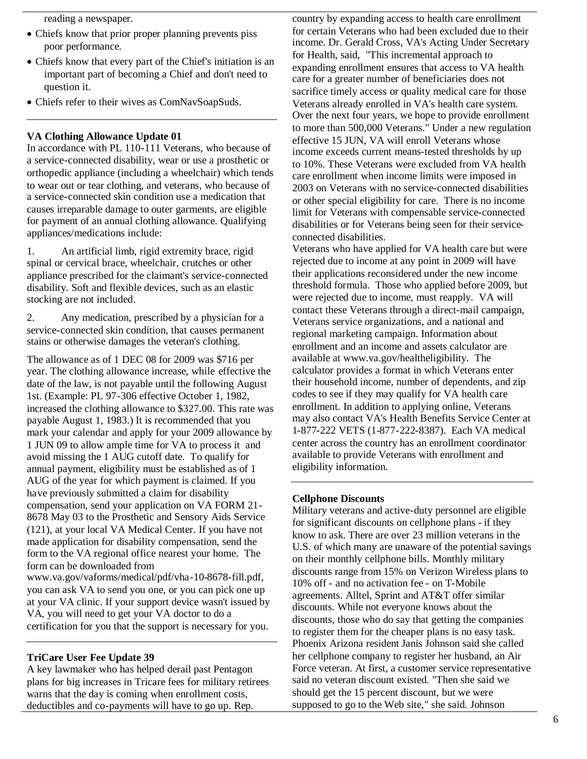reading a newspaper.

- Chiefs know that prior proper planning prevents piss poor performance.
- Chiefs know that every part of the Chief's initiation is an important part of becoming a Chief and don't need to question it.
- Chiefs refer to their wives as ComNavSoapSuds.

### **VA Clothing Allowance Update 01**

In accordance with PL 110-111 Veterans, who because of a service-connected disability, wear or use a prosthetic or orthopedic appliance (including a wheelchair) which tends to wear out or tear clothing, and veterans, who because of a service-connected skin condition use a medication that causes irreparable damage to outer garments, are eligible for payment of an annual clothing allowance. Qualifying appliances/medications include:

1. An artificial limb, rigid extremity brace, rigid spinal or cervical brace, wheelchair, crutches or other appliance prescribed for the claimant's service-connected disability. Soft and flexible devices, such as an elastic stocking are not included.

2. Any medication, prescribed by a physician for a service-connected skin condition, that causes permanent stains or otherwise damages the veteran's clothing.

The allowance as of 1 DEC 08 for 2009 was \$716 per year. The clothing allowance increase, while effective the date of the law, is not payable until the following August 1st. (Example: PL 97-306 effective October 1, 1982, increased the clothing allowance to \$327.00. This rate was payable August 1, 1983.) It is recommended that you mark your calendar and apply for your 2009 allowance by 1 JUN 09 to allow ample time for VA to process it and avoid missing the 1 AUG cutoff date. To qualify for annual payment, eligibility must be established as of 1 AUG of the year for which payment is claimed. If you have previously submitted a claim for disability compensation, send your application on VA FORM 21- 8678 May 03 to the Prosthetic and Sensory Aids Service (121), at your local VA Medical Center. If you have not made application for disability compensation, send the form to the VA regional office nearest your home. The form can be downloaded from

www.va.gov/vaforms/medical/pdf/vha-10-8678-fill.pdf, you can ask VA to send you one, or you can pick one up at your VA clinic. If your support device wasn't issued by VA, you will need to get your VA doctor to do a certification for you that the support is necessary for you.

#### **TriCare User Fee Update 39**

A key lawmaker who has helped derail past Pentagon plans for big increases in Tricare fees for military retirees warns that the day is coming when enrollment costs, deductibles and co-payments will have to go up. Rep.

country by expanding access to health care enrollment for certain Veterans who had been excluded due to their income. Dr. Gerald Cross, VA's Acting Under Secretary for Health, said, "This incremental approach to expanding enrollment ensures that access to VA health care for a greater number of beneficiaries does not sacrifice timely access or quality medical care for those Veterans already enrolled in VA's health care system. Over the next four years, we hope to provide enrollment to more than 500,000 Veterans." Under a new regulation effective 15 JUN, VA will enroll Veterans whose income exceeds current means-tested thresholds by up to 10%. These Veterans were excluded from VA health care enrollment when income limits were imposed in 2003 on Veterans with no service-connected disabilities or other special eligibility for care. There is no income limit for Veterans with compensable service-connected disabilities or for Veterans being seen for their serviceconnected disabilities.

Veterans who have applied for VA health care but were rejected due to income at any point in 2009 will have their applications reconsidered under the new income threshold formula. Those who applied before 2009, but were rejected due to income, must reapply. VA will contact these Veterans through a direct-mail campaign, Veterans service organizations, and a national and regional marketing campaign. Information about enrollment and an income and assets calculator are available at www.va.gov/healtheligibility. The calculator provides a format in which Veterans enter their household income, number of dependents, and zip codes to see if they may qualify for VA health care enrollment. In addition to applying online, Veterans may also contact VA's Health Benefits Service Center at 1-877-222 VETS (1-877-222-8387). Each VA medical center across the country has an enrollment coordinator available to provide Veterans with enrollment and eligibility information.

#### **Cellphone Discounts**

Military veterans and active-duty personnel are eligible for significant discounts on cellphone plans - if they know to ask. There are over 23 million veterans in the U.S. of which many are unaware of the potential savings on their monthly cellphone bills. Monthly military discounts range from 15% on Verizon Wireless plans to 10% off - and no activation fee - on T-Mobile agreements. Alltel, Sprint and AT&T offer similar discounts. While not everyone knows about the discounts, those who do say that getting the companies to register them for the cheaper plans is no easy task. Phoenix Arizona resident Janis Johnson said she called her cellphone company to register her husband, an Air Force veteran. At first, a customer service representative said no veteran discount existed. "Then she said we should get the 15 percent discount, but we were supposed to go to the Web site," she said. Johnson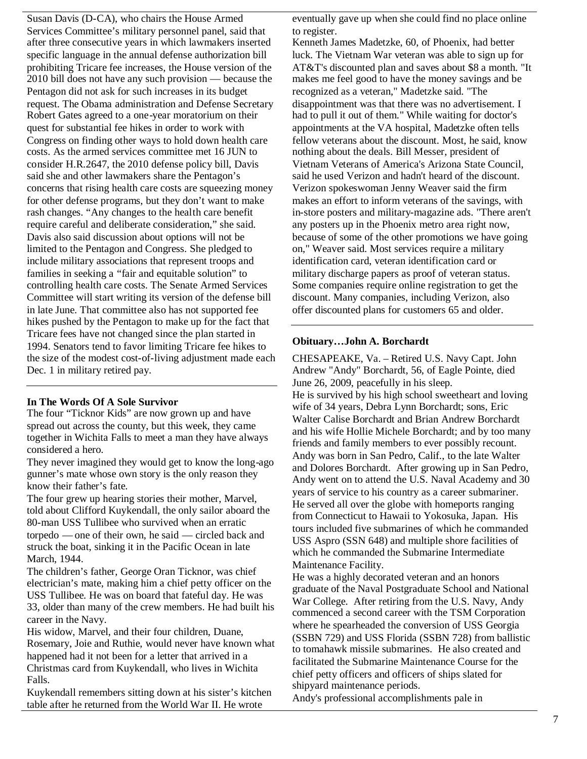Susan Davis (D-CA), who chairs the House Armed Services Committee's military personnel panel, said that after three consecutive years in which lawmakers inserted specific language in the annual defense authorization bill prohibiting Tricare fee increases, the House version of the 2010 bill does not have any such provision — because the Pentagon did not ask for such increases in its budget request. The Obama administration and Defense Secretary Robert Gates agreed to a one-year moratorium on their quest for substantial fee hikes in order to work with Congress on finding other ways to hold down health care costs. As the armed services committee met 16 JUN to consider H.R.2647, the 2010 defense policy bill, Davis said she and other lawmakers share the Pentagon's concerns that rising health care costs are squeezing money for other defense programs, but they don't want to make rash changes. "Any changes to the health care benefit require careful and deliberate consideration," she said. Davis also said discussion about options will not be limited to the Pentagon and Congress. She pledged to include military associations that represent troops and families in seeking a "fair and equitable solution" to controlling health care costs. The Senate Armed Services Committee will start writing its version of the defense bill in late June. That committee also has not supported fee hikes pushed by the Pentagon to make up for the fact that Tricare fees have not changed since the plan started in 1994. Senators tend to favor limiting Tricare fee hikes to the size of the modest cost-of-living adjustment made each Dec. 1 in military retired pay.

#### **In The Words Of A Sole Survivor**

The four "Ticknor Kids" are now grown up and have spread out across the county, but this week, they came together in Wichita Falls to meet a man they have always considered a hero.

They never imagined they would get to know the long-ago gunner's mate whose own story is the only reason they know their father's fate.

The four grew up hearing stories their mother, Marvel, told about Clifford Kuykendall, the only sailor aboard the 80-man USS Tullibee who survived when an erratic torpedo — one of their own, he said — circled back and struck the boat, sinking it in the Pacific Ocean in late March, 1944.

The children's father, George Oran Ticknor, was chief electrician's mate, making him a chief petty officer on the USS Tullibee. He was on board that fateful day. He was 33, older than many of the crew members. He had built his career in the Navy.

His widow, Marvel, and their four children, Duane, Rosemary, Joie and Ruthie, would never have known what happened had it not been for a letter that arrived in a Christmas card from Kuykendall, who lives in Wichita Falls.

Kuykendall remembers sitting down at his sister's kitchen table after he returned from the World War II. He wrote

eventually gave up when she could find no place online to register.

Kenneth James Madetzke, 60, of Phoenix, had better luck. The Vietnam War veteran was able to sign up for AT&T's discounted plan and saves about \$8 a month. "It makes me feel good to have the money savings and be recognized as a veteran," Madetzke said. "The disappointment was that there was no advertisement. I had to pull it out of them." While waiting for doctor's appointments at the VA hospital, Madetzke often tells fellow veterans about the discount. Most, he said, know nothing about the deals. Bill Messer, president of Vietnam Veterans of America's Arizona State Council, said he used Verizon and hadn't heard of the discount. Verizon spokeswoman Jenny Weaver said the firm makes an effort to inform veterans of the savings, with in-store posters and military-magazine ads. "There aren't any posters up in the Phoenix metro area right now, because of some of the other promotions we have going on," Weaver said. Most services require a military identification card, veteran identification card or military discharge papers as proof of veteran status. Some companies require online registration to get the discount. Many companies, including Verizon, also offer discounted plans for customers 65 and older.

### **Obituary…John A. Borchardt**

CHESAPEAKE, Va. – Retired U.S. Navy Capt. John Andrew "Andy" Borchardt, 56, of Eagle Pointe, died June 26, 2009, peacefully in his sleep. He is survived by his high school sweetheart and loving wife of 34 years, Debra Lynn Borchardt; sons, Eric Walter Calise Borchardt and Brian Andrew Borchardt and his wife Hollie Michele Borchardt; and by too many friends and family members to ever possibly recount. Andy was born in San Pedro, Calif., to the late Walter and Dolores Borchardt. After growing up in San Pedro, Andy went on to attend the U.S. Naval Academy and 30 years of service to his country as a career submariner. He served all over the globe with homeports ranging from Connecticut to Hawaii to Yokosuka, Japan. His tours included five submarines of which he commanded USS Aspro (SSN 648) and multiple shore facilities of which he commanded the Submarine Intermediate Maintenance Facility.

He was a highly decorated veteran and an honors graduate of the Naval Postgraduate School and National War College. After retiring from the U.S. Navy, Andy commenced a second career with the TSM Corporation where he spearheaded the conversion of USS Georgia (SSBN 729) and USS Florida (SSBN 728) from ballistic to tomahawk missile submarines. He also created and facilitated the Submarine Maintenance Course for the chief petty officers and officers of ships slated for shipyard maintenance periods.

Andy's professional accomplishments pale in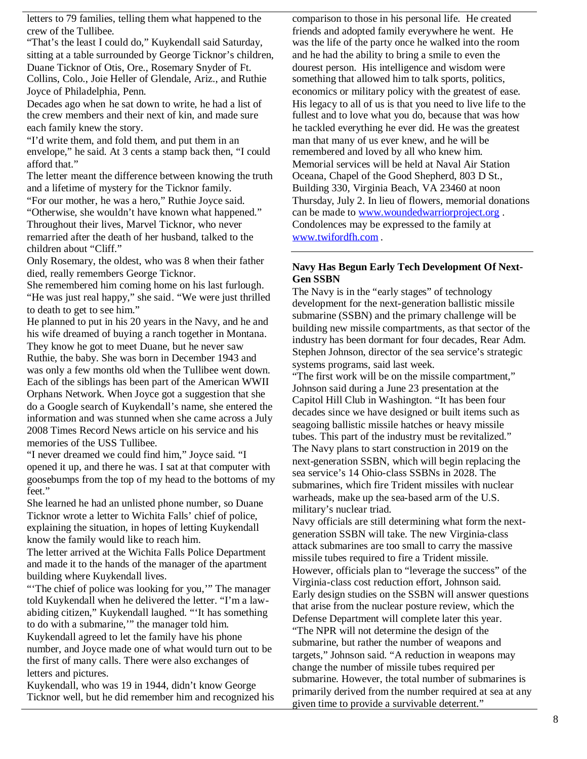letters to 79 families, telling them what happened to the crew of the Tullibee.

"That's the least I could do," Kuykendall said Saturday, sitting at a table surrounded by George Ticknor's children, Duane Ticknor of Otis, Ore., Rosemary Snyder of Ft. Collins, Colo., Joie Heller of Glendale, Ariz., and Ruthie Joyce of Philadelphia, Penn.

Decades ago when he sat down to write, he had a list of the crew members and their next of kin, and made sure each family knew the story.

"I'd write them, and fold them, and put them in an envelope," he said. At 3 cents a stamp back then, "I could afford that."

The letter meant the difference between knowing the truth and a lifetime of mystery for the Ticknor family.

"For our mother, he was a hero," Ruthie Joyce said.

"Otherwise, she wouldn't have known what happened." Throughout their lives, Marvel Ticknor, who never remarried after the death of her husband, talked to the children about "Cliff."

Only Rosemary, the oldest, who was 8 when their father died, really remembers George Ticknor.

She remembered him coming home on his last furlough. "He was just real happy," she said. "We were just thrilled to death to get to see him."

He planned to put in his 20 years in the Navy, and he and his wife dreamed of buying a ranch together in Montana. They know he got to meet Duane, but he never saw Ruthie, the baby. She was born in December 1943 and was only a few months old when the Tullibee went down. Each of the siblings has been part of the American WWII Orphans Network. When Joyce got a suggestion that she do a Google search of Kuykendall's name, she entered the information and was stunned when she came across a July 2008 Times Record News article on his service and his memories of the USS Tullibee.

"I never dreamed we could find him," Joyce said. "I opened it up, and there he was. I sat at that computer with goosebumps from the top of my head to the bottoms of my feet."

She learned he had an unlisted phone number, so Duane Ticknor wrote a letter to Wichita Falls' chief of police, explaining the situation, in hopes of letting Kuykendall know the family would like to reach him.

The letter arrived at the Wichita Falls Police Department and made it to the hands of the manager of the apartment building where Kuykendall lives.

"The chief of police was looking for you," The manager told Kuykendall when he delivered the letter. "I'm a lawabiding citizen," Kuykendall laughed. "'It has something to do with a submarine,'" the manager told him.

Kuykendall agreed to let the family have his phone number, and Joyce made one of what would turn out to be the first of many calls. There were also exchanges of letters and pictures.

Kuykendall, who was 19 in 1944, didn't know George Ticknor well, but he did remember him and recognized his

comparison to those in his personal life. He created friends and adopted family everywhere he went. He was the life of the party once he walked into the room and he had the ability to bring a smile to even the dourest person. His intelligence and wisdom were something that allowed him to talk sports, politics, economics or military policy with the greatest of ease. His legacy to all of us is that you need to live life to the fullest and to love what you do, because that was how he tackled everything he ever did. He was the greatest man that many of us ever knew, and he will be remembered and loved by all who knew him. Memorial services will be held at Naval Air Station Oceana, Chapel of the Good Shepherd, 803 D St., Building 330, Virginia Beach, VA 23460 at noon Thursday, July 2. In lieu of flowers, memorial donations can be made to www.woundedwarriorproject.org . Condolences may be expressed to the family at www.twifordfh.com .

## **Navy Has Begun Early Tech Development Of Next-Gen SSBN**

The Navy is in the "early stages" of technology development for the next-generation ballistic missile submarine (SSBN) and the primary challenge will be building new missile compartments, as that sector of the industry has been dormant for four decades, Rear Adm. Stephen Johnson, director of the sea service's strategic systems programs, said last week.

"The first work will be on the missile compartment," Johnson said during a June 23 presentation at the Capitol Hill Club in Washington. "It has been four decades since we have designed or built items such as seagoing ballistic missile hatches or heavy missile tubes. This part of the industry must be revitalized." The Navy plans to start construction in 2019 on the next-generation SSBN, which will begin replacing the sea service's 14 Ohio-class SSBNs in 2028. The submarines, which fire Trident missiles with nuclear warheads, make up the sea-based arm of the U.S. military's nuclear triad.

Navy officials are still determining what form the nextgeneration SSBN will take. The new Virginia-class attack submarines are too small to carry the massive missile tubes required to fire a Trident missile. However, officials plan to "leverage the success" of the Virginia-class cost reduction effort, Johnson said. Early design studies on the SSBN will answer questions that arise from the nuclear posture review, which the Defense Department will complete later this year. "The NPR will not determine the design of the submarine, but rather the number of weapons and targets," Johnson said. "A reduction in weapons may change the number of missile tubes required per submarine. However, the total number of submarines is primarily derived from the number required at sea at any given time to provide a survivable deterrent."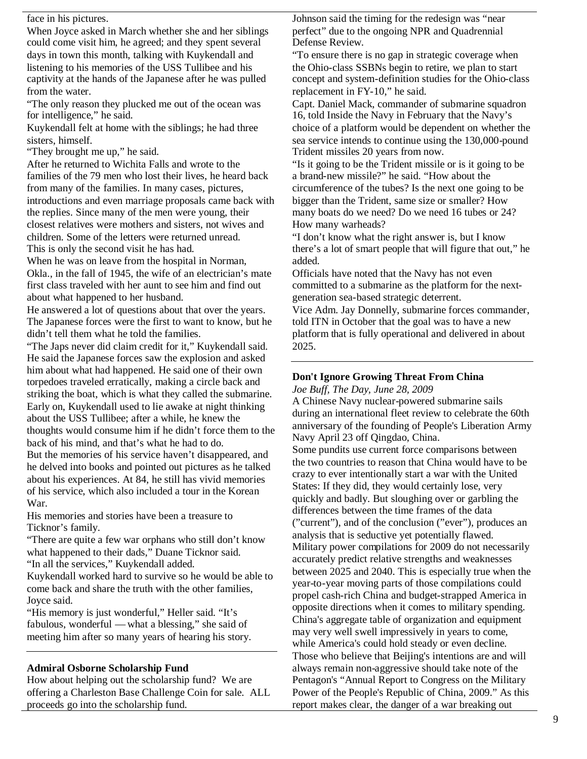face in his pictures.

When Joyce asked in March whether she and her siblings could come visit him, he agreed; and they spent several days in town this month, talking with Kuykendall and listening to his memories of the USS Tullibee and his captivity at the hands of the Japanese after he was pulled from the water.

"The only reason they plucked me out of the ocean was for intelligence," he said.

Kuykendall felt at home with the siblings; he had three sisters, himself.

"They brought me up," he said.

After he returned to Wichita Falls and wrote to the families of the 79 men who lost their lives, he heard back from many of the families. In many cases, pictures, introductions and even marriage proposals came back with the replies. Since many of the men were young, their closest relatives were mothers and sisters, not wives and children. Some of the letters were returned unread. This is only the second visit he has had.

When he was on leave from the hospital in Norman, Okla., in the fall of 1945, the wife of an electrician's mate first class traveled with her aunt to see him and find out about what happened to her husband.

He answered a lot of questions about that over the years. The Japanese forces were the first to want to know, but he didn't tell them what he told the families.

"The Japs never did claim credit for it," Kuykendall said. He said the Japanese forces saw the explosion and asked him about what had happened. He said one of their own torpedoes traveled erratically, making a circle back and striking the boat, which is what they called the submarine. Early on, Kuykendall used to lie awake at night thinking about the USS Tullibee; after a while, he knew the thoughts would consume him if he didn't force them to the back of his mind, and that's what he had to do.

But the memories of his service haven't disappeared, and he delved into books and pointed out pictures as he talked about his experiences. At 84, he still has vivid memories of his service, which also included a tour in the Korean War.

His memories and stories have been a treasure to Ticknor's family.

"There are quite a few war orphans who still don't know what happened to their dads," Duane Ticknor said. "In all the services," Kuykendall added.

Kuykendall worked hard to survive so he would be able to come back and share the truth with the other families, Joyce said.

"His memory is just wonderful," Heller said. "It's fabulous, wonderful — what a blessing," she said of meeting him after so many years of hearing his story.

#### **Admiral Osborne Scholarship Fund**

How about helping out the scholarship fund? We are offering a Charleston Base Challenge Coin for sale. ALL proceeds go into the scholarship fund.

Johnson said the timing for the redesign was "near perfect" due to the ongoing NPR and Quadrennial Defense Review.

"To ensure there is no gap in strategic coverage when the Ohio-class SSBNs begin to retire, we plan to start concept and system-definition studies for the Ohio-class replacement in FY-10," he said.

Capt. Daniel Mack, commander of submarine squadron 16, told Inside the Navy in February that the Navy's choice of a platform would be dependent on whether the sea service intends to continue using the 130,000-pound Trident missiles 20 years from now.

"Is it going to be the Trident missile or is it going to be a brand-new missile?" he said. "How about the circumference of the tubes? Is the next one going to be bigger than the Trident, same size or smaller? How many boats do we need? Do we need 16 tubes or 24? How many warheads?

"I don't know what the right answer is, but I know there's a lot of smart people that will figure that out," he added.

Officials have noted that the Navy has not even committed to a submarine as the platform for the nextgeneration sea-based strategic deterrent.

Vice Adm. Jay Donnelly, submarine forces commander, told ITN in October that the goal was to have a new platform that is fully operational and delivered in about 2025.

## **Don't Ignore Growing Threat From China**

*Joe Buff, The Day, June 28, 2009*

A Chinese Navy nuclear-powered submarine sails during an international fleet review to celebrate the 60th anniversary of the founding of People's Liberation Army Navy April 23 off Qingdao, China.

Some pundits use current force comparisons between the two countries to reason that China would have to be crazy to ever intentionally start a war with the United States: If they did, they would certainly lose, very quickly and badly. But sloughing over or garbling the differences between the time frames of the data ("current"), and of the conclusion ("ever"), produces an analysis that is seductive yet potentially flawed. Military power compilations for 2009 do not necessarily accurately predict relative strengths and weaknesses between 2025 and 2040. This is especially true when the year-to-year moving parts of those compilations could propel cash-rich China and budget-strapped America in opposite directions when it comes to military spending. China's aggregate table of organization and equipment may very well swell impressively in years to come, while America's could hold steady or even decline. Those who believe that Beijing's intentions are and will always remain non-aggressive should take note of the Pentagon's "Annual Report to Congress on the Military Power of the People's Republic of China, 2009." As this report makes clear, the danger of a war breaking out